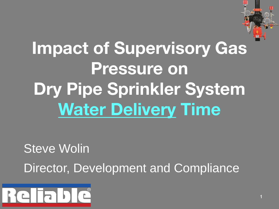

# Impact of Supervisory Gas Pressure on Dry Pipe Sprinkler System **Water Delivery Time**

**Steve Wolin** 

Director, Development and Compliance

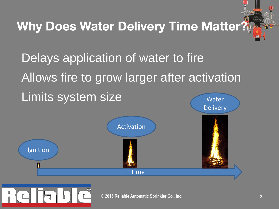### Why Does Water Delivery Time Matter?

Delays application of water to fire Allows fire to grow larger after activation Limits system size Water

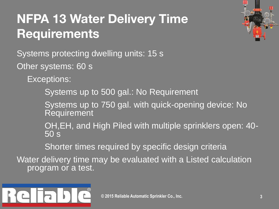### NFPA 13 Water Delivery Time **Requirements**



Systems protecting dwelling units: 15 s

Other systems: 60 s

Exceptions:

Systems up to 500 gal.: No Requirement

Systems up to 750 gal. with quick-opening device: No Requirement

OH,EH, and High Piled with multiple sprinklers open: 40- 50 s

Shorter times required by specific design criteria

Water delivery time may be evaluated with a Listed calculation program or a test.

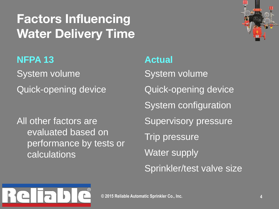### Factors Influencing Water Delivery Time



**NFPA 13** System volume Quick-opening device

All other factors are evaluated based on performance by tests or calculations

**Actual** System volume Quick-opening device System configuration Supervisory pressure Trip pressure Water supply Sprinkler/test valve size

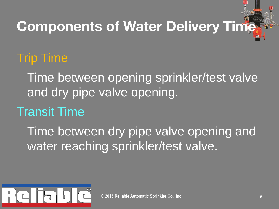# **Components of Water Delivery Time**

### Trip Time

Time between opening sprinkler/test valve and dry pipe valve opening.

### Transit Time

Time between dry pipe valve opening and water reaching sprinkler/test valve.

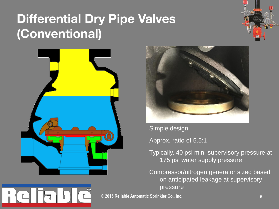### Differential Dry Pipe Valves (Conventional)







Simple design

Approx. ratio of 5.5:1

Typically, 40 psi min. supervisory pressure at 175 psi water supply pressure

Compressor/nitrogen generator sized based on anticipated leakage at supervisory pressure

**© 2015 Reliable Automatic Sprinkler Co., Inc. 6**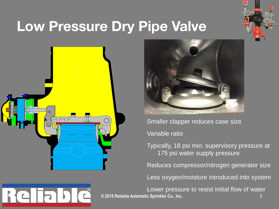

## Low Pressure Dry Pipe Valve





Smaller clapper reduces case size

Variable ratio

Typically, 18 psi min. supervisory pressure at 175 psi water supply pressure

Reduces compressor/nitrogen generator size

Less oxygen/moisture introduced into system

**© 2015 Reliable Automatic Sprinkler Co., Inc. 7** Lower pressure to resist initial flow of water

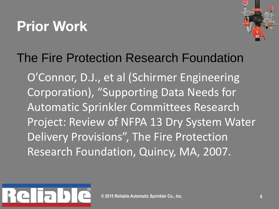## Prior Work



### The Fire Protection Research Foundation

O'Connor, D.J., et al (Schirmer Engineering Corporation), "Supporting Data Needs for Automatic Sprinkler Committees Research Project: Review of NFPA 13 Dry System Water Delivery Provisions", The Fire Protection Research Foundation, Quincy, MA, 2007.

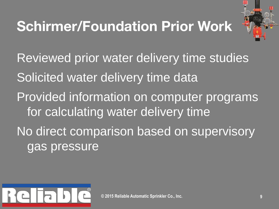# Schirmer/Foundation Prior Work



Reviewed prior water delivery time studies Solicited water delivery time data Provided information on computer programs for calculating water delivery time No direct comparison based on supervisory gas pressure

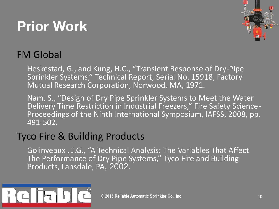# Prior Work



#### FM Global

Heskestad, G., and Kung, H.C., "Transient Response of Dry-Pipe Sprinkler Systems," Technical Report, Serial No. 15918, Factory Mutual Research Corporation, Norwood, MA, 1971.

Nam, S., "Design of Dry Pipe Sprinkler Systems to Meet the Water Delivery Time Restriction in Industrial Freezers," Fire Safety Science-Proceedings of the Ninth International Symposium, IAFSS, 2008, pp. 491-502.

#### Tyco Fire & Building Products

Golinveaux , J.G., "A Technical Analysis: The Variables That Affect The Performance of Dry Pipe Systems," Tyco Fire and Building Products, Lansdale, PA, 2002.

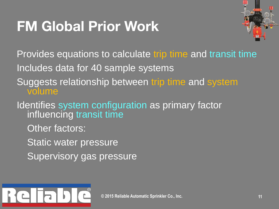## FM Global Prior Work



Provides equations to calculate trip time and transit time

Includes data for 40 sample systems

- Suggests relationship between trip time and system volume
- Identifies system configuration as primary factor influencing transit time
	- Other factors:

Static water pressure

Supervisory gas pressure

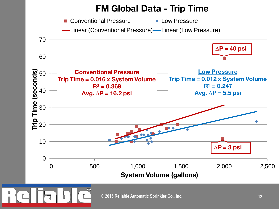#### FM Global Data - Trip Time

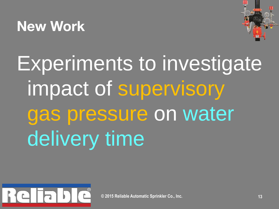## New Work



Experiments to investigate impact of supervisory gas pressure on water delivery time

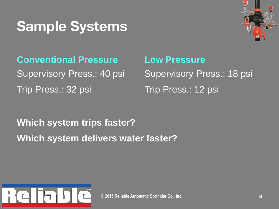## Sample Systems



**Conventional Pressure** Supervisory Press.: 40 psi Trip Press.: 32 psi

**Low Pressure** Supervisory Press.: 18 psi Trip Press.: 12 psi

**Which system trips faster? Which system delivers water faster?**

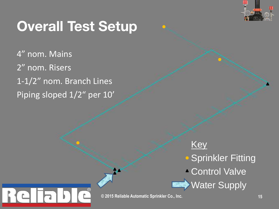

## Overall Test Setup

4" nom. Mains 2" nom. Risers 1-1/2" nom. Branch Lines Piping sloped 1/2" per 10'

> **Key • Sprinkler Fitting** Control Valve **Water Supply**

**© 2015 Reliable Automatic Sprinkler Co., Inc. 15**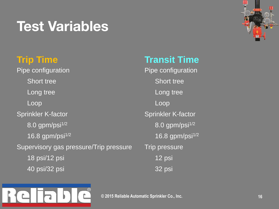## Test Variables



#### **Trip Time**

Pipe configuration Short tree Long tree **Loop** Sprinkler K-factor 8.0 gpm/psi<sup>1/2</sup> 16.8 gpm/psi $^{1/2}$ Supervisory gas pressure/Trip pressure 18 psi/12 psi 40 psi/32 psi

#### **Transit Time**

Pipe configuration Short tree Long tree Loop Sprinkler K-factor 8.0 gpm/psi<sup>1/2</sup> 16.8 gpm/psi<sup>1/2</sup> Trip pressure 12 psi 32 psi

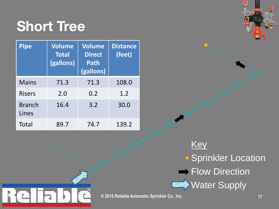### Short Tree

| <b>Pipe</b>            | <b>Volume</b><br><b>Total</b><br>(gallons) | <b>Volume</b><br><b>Direct</b><br><b>Path</b><br>(gallons) | <b>Distance</b><br>(feet) |
|------------------------|--------------------------------------------|------------------------------------------------------------|---------------------------|
| <b>Mains</b>           | 71.3                                       | 71.3                                                       | 108.0                     |
| <b>Risers</b>          | 2.0                                        | 0.2                                                        | 1.2                       |
| <b>Branch</b><br>Lines | 16.4                                       | 3.2                                                        | 30.0                      |
| Total                  | 89.7                                       | 74.7                                                       | 139.2                     |

 $\circledR$ 

**Key Sprinkler Location**  $\rightarrow$  Flow Direction Water Supply

**© 2015 Reliable Automatic Sprinkler Co., Inc. 17**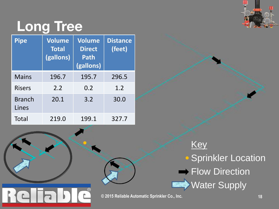

# Long Tree

| <b>Pipe</b>            | Volume<br><b>Total</b><br>(gallons) | <b>Volume</b><br><b>Direct</b><br>Path<br>(gallons) | <b>Distance</b><br>(feet) |
|------------------------|-------------------------------------|-----------------------------------------------------|---------------------------|
| <b>Mains</b>           | 196.7                               | 195.7                                               | 296.5                     |
| <b>Risers</b>          | 2.2                                 | 0.2                                                 | 1.2                       |
| <b>Branch</b><br>Lines | 20.1                                | 3.2                                                 | 30.0                      |
| Total                  | 219.0                               | 199.1                                               | 327.7                     |

 $\odot$ Ê.

**Key Sprinkler Location** Flow Direction Water Supply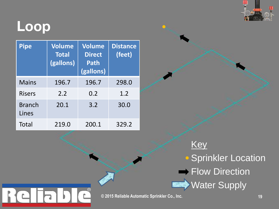

### **Loop**

 $\mathsf{L}$ 

| <b>Pipe</b>            | <b>Volume</b><br><b>Total</b><br>(gallons) | Volume<br><b>Direct</b><br><b>Path</b><br>(gallons) | <b>Distance</b><br>(feet) |
|------------------------|--------------------------------------------|-----------------------------------------------------|---------------------------|
| <b>Mains</b>           | 196.7                                      | 196.7                                               | 298.0                     |
| <b>Risers</b>          | 2.2                                        | 0.2                                                 | 1.2                       |
| <b>Branch</b><br>Lines | 20.1                                       | 3.2                                                 | 30.0                      |
| Total                  | 219.0                                      | 200.1                                               | 329.2                     |

 $\overline{\odot}$ 

Ê.

**Key Sprinkler Location** Flow Direction Water Supply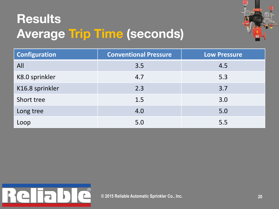### **Results** Average Trip Time (seconds)



| <b>Configuration</b> | <b>Conventional Pressure</b> | <b>Low Pressure</b> |
|----------------------|------------------------------|---------------------|
| All                  | 3.5                          | 4.5                 |
| K8.0 sprinkler       | 4.7                          | 5.3                 |
| K16.8 sprinkler      | 2.3                          | 3.7                 |
| Short tree           | 1.5                          | 3.0                 |
| Long tree            | 4.0                          | 5.0                 |
| Loop                 | 5.0                          | 5.5                 |

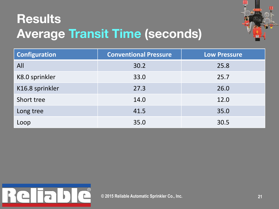### **Results** Average Transit Time (seconds)



| <b>Configuration</b> | <b>Conventional Pressure</b> | <b>Low Pressure</b> |
|----------------------|------------------------------|---------------------|
| All                  | 30.2                         | 25.8                |
| K8.0 sprinkler       | 33.0                         | 25.7                |
| K16.8 sprinkler      | 27.3                         | 26.0                |
| Short tree           | 14.0                         | 12.0                |
| Long tree            | 41.5                         | 35.0                |
| Loop                 | 35.0                         | 30.5                |

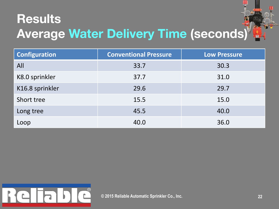### **Results** Average Water Delivery Time (seconds)

| <b>Configuration</b> | <b>Conventional Pressure</b> | <b>Low Pressure</b> |
|----------------------|------------------------------|---------------------|
| All                  | 33.7                         | 30.3                |
| K8.0 sprinkler       | 37.7                         | 31.0                |
| K16.8 sprinkler      | 29.6                         | 29.7                |
| Short tree           | 15.5                         | 15.0                |
| Long tree            | 45.5                         | 40.0                |
| Loop                 | 40.0                         | 36.0                |

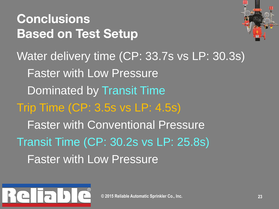# **Conclusions** Based on Test Setup Water delivery time (CP: 33.7s vs LP: 30.3s) Faster with Low Pressure Dominated by Transit Time Trip Time (CP: 3.5s vs LP: 4.5s) Faster with Conventional Pressure Transit Time (CP: 30.2s vs LP: 25.8s) Faster with Low Pressure